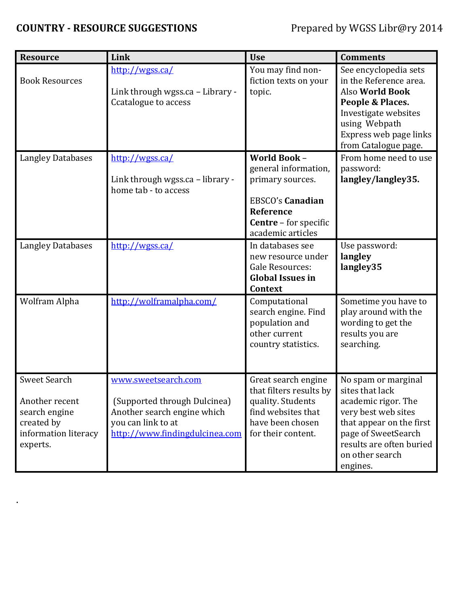## **COUNTRY - RESOURCE SUGGESTIONS** Prepared by WGSS Libr@ry 2014

.

| <b>Resource</b>                                                                                   | Link                                                                                                                                       | <b>Use</b>                                                                                                                                                   | <b>Comments</b>                                                                                                                                                                                    |
|---------------------------------------------------------------------------------------------------|--------------------------------------------------------------------------------------------------------------------------------------------|--------------------------------------------------------------------------------------------------------------------------------------------------------------|----------------------------------------------------------------------------------------------------------------------------------------------------------------------------------------------------|
| <b>Book Resources</b>                                                                             | http://wgss.ca/<br>Link through wgss.ca - Library -<br>Ccatalogue to access                                                                | You may find non-<br>fiction texts on your<br>topic.                                                                                                         | See encyclopedia sets<br>in the Reference area.<br><b>Also World Book</b><br>People & Places.<br>Investigate websites<br>using Webpath<br>Express web page links<br>from Catalogue page.           |
| <b>Langley Databases</b>                                                                          | http://wgss.ca/<br>Link through wgss.ca - library -<br>home tab - to access                                                                | <b>World Book -</b><br>general information,<br>primary sources.<br><b>EBSCO's Canadian</b><br>Reference<br><b>Centre</b> - for specific<br>academic articles | From home need to use<br>password:<br>langley/langley35.                                                                                                                                           |
| <b>Langley Databases</b>                                                                          | http://wgss.ca/                                                                                                                            | In databases see<br>new resource under<br><b>Gale Resources:</b><br><b>Global Issues in</b><br><b>Context</b>                                                | Use password:<br>langley<br>langley35                                                                                                                                                              |
| Wolfram Alpha                                                                                     | http://wolframalpha.com/                                                                                                                   | Computational<br>search engine. Find<br>population and<br>other current<br>country statistics.                                                               | Sometime you have to<br>play around with the<br>wording to get the<br>results you are<br>searching.                                                                                                |
| Sweet Search<br>Another recent<br>search engine<br>created by<br>information literacy<br>experts. | www.sweetsearch.com<br>(Supported through Dulcinea)<br>Another search engine which<br>you can link to at<br>http://www.findingdulcinea.com | Great search engine<br>that filters results by<br>quality. Students<br>find websites that<br>have been chosen<br>for their content.                          | No spam or marginal<br>sites that lack<br>academic rigor. The<br>very best web sites<br>that appear on the first<br>page of SweetSearch<br>results are often buried<br>on other search<br>engines. |